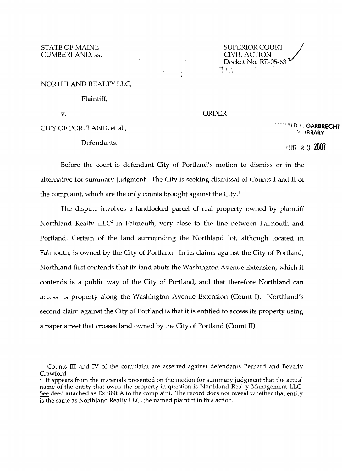CUMBERLAND, ss.

STATE OF MAINE SUPERIOR COURT / Docket No. RE-05-63 すいみょう

# ,.

# NORTHLAND REALTY LLC,

#### Plaintiff,

### v. ORDER

Defendants.

**CITY OF PORTLAND, et al., And CITY OF PORTLAND, et al.,** 4' i IRRARY

1;'. I,r~ 2 0 **2007** 

Before the court is defendant City of Portland's motion to dismiss or in the alternative for summary judgment. The City is seeking dismissal of Counts I and II of the complaint, which are the only counts brought against the City. $^1$ 

The dispute involves a landlocked parcel of real property owned by plaintiff Northland Realty  $LLC<sup>2</sup>$  in Falmouth, very close to the line between Falmouth and Portland. Certain of the land surrounding the Northland lot, although located in Falmouth, is owned by the City of Portland. In its claims against the City of Portland, Northland first contends that its land abuts the Washington Avenue Extension, which it contends is a public way of the City of Portland, and that therefore Northland can access its property along the Washington Avenue Extension (Count I). Northland's second claim against the City of Portland is that it is entitled to access its property using a paper street that crosses land owned by the City of Portland (Count II).

Counts III and IV of the complaint are asserted against defendants Bernard and Beverly Crawford.

 $2$  It appears from the materials presented on the motion for summary judgment that the actual name of the entity that owns the property in question is Northland Realty Management LLC. See deed attached as Exhibit A to the complaint. The record does not reveal whether that entity is the same as Northland Realty LLC, the named plaintiff in this action.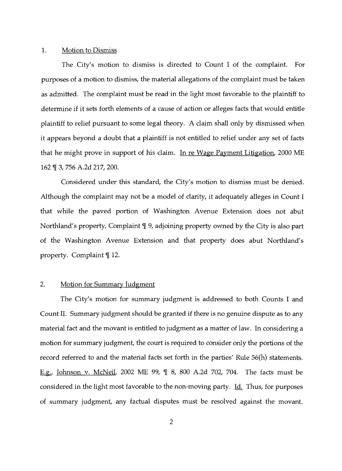#### 1. Motion to Dismiss

The City's motion to dismiss is directed to Count I of the complaint. For purposes of a motion to dismiss, the material allegations of the complaint must be taken as admitted. The complaint must be read in the light most favorable to the plaintiff to determine if it sets forth elements of a cause of action or alleges facts that would entitle plaintiff to relief pursuant to some legal theory. A claim shall only by dismissed when it appears beyond a doubt that a plaintiff is not entitled to relief under any set of facts that he might prove in support of his claim. In re Wage Payment Litigation, 2000 ME 162 ¶ 3, 756 A.2d 217, 200.

Considered under this standard, the City's motion to dismiss must be denied. Although the complaint may not be a model of clarity, it adequately alleges in Count I that while the paved portion of Washington Avenue Extension does not abut Northland's property, Complaint  $\P$  9, adjoining property owned by the City is also part of the Washington Avenue Extension and that property does abut Northland's property. Complaint  $\P$  12.

## 2. Motion for Summary Judgment

The City's motion for summary judgment is addressed to both Counts I and Count II. Summary judgment should be granted if there is no genuine dispute as to any material fact and the movant is entitled to judgment as a matter of law. In considering a motion for summary judgment, the court is required to consider only the portions of the record referred to and the material facts set forth in the parties' Rule 56(h) statements. E.g., Johnson v. McNeil, 2002 ME 99, ¶ 8, 800 A.2d 702, 704. The facts must be considered in the light most favorable to the non-moving party. Id. Thus, for purposes of summary judgment, any factual disputes must be resolved against the movant.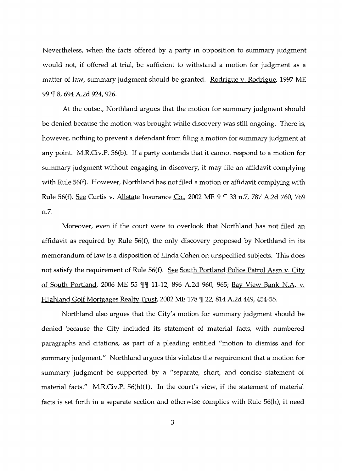Nevertheless, when the facts offered by a party in opposition to summary judgment would not, if offered at trial, be sufficient to withstand a motion for judgment as a matter of law, summary judgment should be granted. Rodrigue v. Rodrigue, 1997 ME 99 ¶ 8, 694 A.2d 924, 926.

At the outset, Northland argues that the motion for summary judgment should be denied because the motion was brought while discovery was still ongoing. There is, however, nothing to prevent a defendant from filing a motion for summary judgment at any point. M.R.Civ.P.56(b). If a party contends that it cannot respond to a motion for summary judgment without engaging in discovery, it may file an affidavit complying with Rule 56(f). However, Northland has not filed a motion or affidavit complying with Rule 56(f). See Curtis v. Allstate Insurance Co., 2002 ME 9 ¶ 33 n.7, 787 A.2d 760, 769 n.7.

Moreover, even if the court were to overlook that Northland has not filed an affidavit as required by Rule  $56(f)$ , the only discovery proposed by Northland in its memorandum of law is a disposition of Linda Cohen on unspecified subjects. This does not satisfy the requirement of Rule 56(f). See South Portland Police Patrol Assn v. City of South Portland, 2006 ME 55 II 11-12, 896 A.2d 960, 965; Bay View Bank N.A. v. Highland Golf Mortgages Realty Trust, 2002 ME 178 [ 22, 814 A.2d 449, 454-55.

Northland also argues that the City's motion for summary judgment should be denied because the City included its statement of material facts, with numbered paragraphs and citations, as part of a pleading entitled "motion to dismiss and for summary judgment." Northland argues this violates the requirement that a motion for summary judgment be supported by a "separate, short, and concise statement of material facts." M.R.Civ.P.  $56(h)(1)$ . In the court's view, if the statement of material facts is set forth in a separate section and otherwise complies with Rule 56(h), it need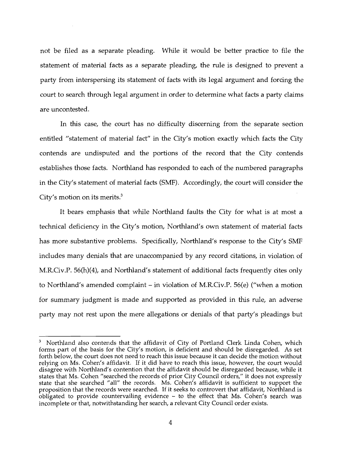not be filed as a separate pleading. While it would be better practice to file the statement of material facts as a separate pleading, the rule is designed to prevent a party from interspersing its statement of facts with its legal argument and forcing the court to search through legal argument in order to determine what facts a party claims are uncontested.

In this case, the court has no difficulty discerning from the separate section entitled "statement of material fact" in the City's motion exactly which facts the City contends are undisputed and the portions of the record that the City contends establishes those facts. Northland has responded to each of the numbered paragraphs in the City's statement of material facts (SMF). Accordingly, the court will consider the City's motion on its merits. $3$ 

It bears emphasis that while Northland faults the City for what is at most a technical deficiency in the City's motion, Northland's own statement of material facts has more substantive problems. Specifically, Northland's response to the City's SMF includes many denials that are unaccompanied by any record citations, in violation of M.R.Civ.P. 56(h)(4), and Northland's statement of additional facts frequently cites only to Northland's amended complaint - in violation of M.R.Civ.P. 56(e) ("when a motion for summary judgment is made and supported as provided in this rule, an adverse party may not rest upon the mere allegations or denials of that party's pleadings but

<sup>3</sup> Northland also contends that the affidavit of City of Portland Clerk Linda Cohen, which forms part of the basis for the City's motion, is deficient and should be disregarded. As set forth below, the court does not need to reach this issue because it can decide the motion without relying on Ms. Cohen's affidavit. If it did have to reach this issue, however, the court would disagree with Northland's contention that the affidavit should be disregarded because, while it states that Ms. Cohen "searched the records of prior City Council orders," it does not expressly state that she searched "all" the records. Ms. Cohen's affidavit is sufficient to support the proposition that the records were searched. If it seeks to controvert that affidavit, Northland is obligated to provide countervailing evidence - to the effect that Ms. Cohen's search was incomplete or that, notwithstanding her search, a relevant City Council order exists.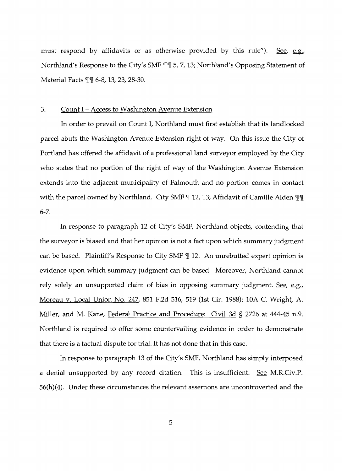must respond by affidavits or as otherwise provided by this rule"). See, e.g., Northland's Response to the City's SMF  $\P$  15, 7, 13; Northland's Opposing Statement of Material Facts II 6-8, 13, 23, 28-30.

### 3. Count I - Access to Washington Avenue Extension

In order to prevail on Count I, Northland must first establish that its landlocked parcel abuts the Washington Avenue Extension right of way. On this issue the City of Portland has offered the affidavit of a professional land surveyor employed by the City who states that no portion of the right of way of the Washington Avenue Extension extends into the adjacent municipality of Falmouth and no portion comes in contact with the parcel owned by Northland. City SMF  $\mathbb{I}$  12, 13; Affidavit of Camille Alden  $\mathbb{I}\mathbb{I}$ 6-7.

In response to paragraph 12 of City's SMF, Northland objects, contending that the surveyor is biased and that her opinion is not a fact upon which summary judgment can be based. Plaintiff's Response to City SMF  $\P$  12. An unrebutted expert opinion is evidence upon which summary judgment can be based. Moreover, Northland cannot rely solely an unsupported claim of bias in opposing summary judgment. See, e.g., Moreau v. Local Union No. 247, 851 F.2d 516, 519 (1st Cir. 1988); 10A C. Wright, A. Miller, and M. Kane, Federal Practice and Procedure: Civil 3d § 2726 at 444-45 n.9. Northland is required to offer some countervailing evidence in order to demonstrate that there is a factual dispute for trial. It has not done that in this case.

In response to paragraph 13 of the City's SMF, Northland has simply interposed a denial unsupported by any record citation. This is insufficient. See M.R.Civ.P. 56(h)(4). Under these circumstances the relevant assertions are uncontroverted and the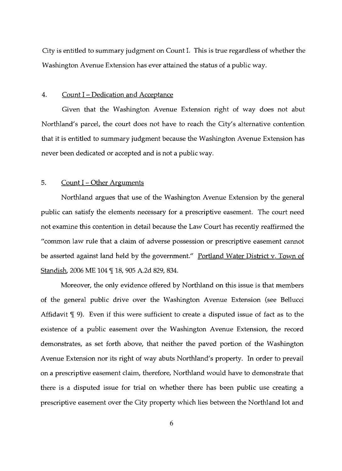City is entitled to summary judgment on Count 1. This is true regardless of whether the Washington Avenue Extension has ever attained the status of a public way.

### 4. Count I - Dedication and Acceptance

Given that the Washington Avenue Extension right of way does not abut Northland's parcel, the court does not have to reach the City's alternative contention that it is entitled to summary judgment because the Washington Avenue Extension has never been dedicated or accepted and is not a public way.

# 5. Count  $I$  – Other Arguments

Northland argues that use of the Washington Avenue Extension by the general public can satisfy the elements necessary for a prescriptive easement. The court need not examine this contention in detail because the Law Court has recently reaffirmed the "common law rule that a claim of adverse possession or prescriptive easement cannot be asserted against land held by the government." Portland Water District v. Town of Standish, 2006 ME 104 ¶ 18, 905 A.2d 829, 834.

Moreover, the only evidence offered by Northland on this issue is that members of the general public drive over the Washington Avenue Extension (see Bellucci Affidavit  $\mathcal{N}$  9). Even if this were sufficient to create a disputed issue of fact as to the existence of a public easement over the Washington Avenue Extension, the record demonstrates, as set forth above, that neither the paved portion of the Washington Avenue Extension nor its right of way abuts Northland's property. In order to prevail on a prescriptive easement claim, therefore, Northland would have to demonstrate that there is a disputed issue for trial on whether there has been public use creating a prescriptive easement over the City property which lies between the Northland lot and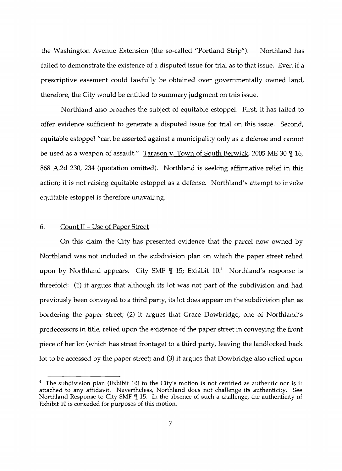the Washington Avenue Extension (the so-called "Portland Strip"). Northland has failed to demonstrate the existence of a disputed issue for trial as to that issue. Even if a prescriptive easement could lawfully be obtained over governmentally owned land, therefore, the City would be entitled to summary judgment on this issue.

Northland also broaches the subject of equitable estoppel. First, it has failed to offer evidence sufficient to generate a disputed issue for trial on this issue. Second, equitable estoppel "can be asserted against a municipality only as a defense and cannot be used as a weapon of assault." Tarason v. Town of South Berwick, 2005 ME 30 [ 16, 868 A.2d 230, 234 (quotation omitted). Northland is seeking affirmative relief in this action; it is not raising equitable estoppel as a defense. Northland's attempt to invoke equitable estoppel is therefore unavailing.

### 6. Count II – Use of Paper Street

On this claim the City has presented evidence that the parcel now owned by Northland was not included in the subdivision plan on which the paper street relied upon by Northland appears. City SMF  $\P$  15; Exhibit 10.<sup>4</sup> Northland's response is threefold: (1) it argues that although its lot was not part of the subdivision and had previously been conveyed to a third party, its lot does appear on the subdivision plan as bordering the paper street; (2) it argues that Grace Dowbridge, one of Northland's predecessors in title, relied upon the existence of the paper street in conveying the front piece of her lot (which has street frontage) to a third party, leaving the landlocked back lot to be accessed by the paper street; and (3) it argues that Dowbridge also relied upon

 $^4$  The subdivision plan (Exhibit 10) to the City's motion is not certified as authentic nor is it attached to any affidavit. Nevertheless, Northland does not challenge its authenticity. See Northland Response to City SMF [ 15. In the absence of such a challenge, the authenticity of Exhibit 10 is conceded for purposes of this motion.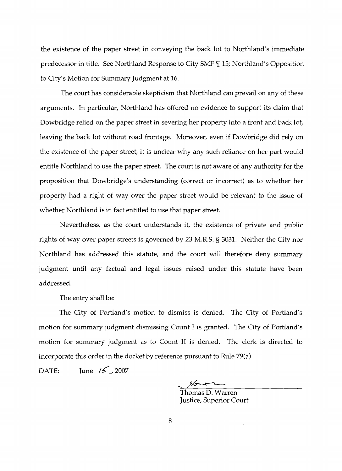the existence of the paper street in conveying the back lot to Northland's immediate predecessor in title. See Northland Response to City SMF  $\P$  15; Northland's Opposition to City's Motion for Summary Judgment at 16.

The court has considerable skepticism that Northland can prevail on any of these arguments. In particular, Northland has offered no evidence to support its claim that Dowbridge relied on the paper street in severing her property into a front and back lot, leaving the back lot without road frontage. Moreover, even if Dowbridge did rely on the existence of the paper street, it is unclear why any such reliance on her part would entitle Northland to use the paper street. The court is not aware of any authority for the proposition that Dowbridge's understanding (correct or incorrect) as to whether her property had a right of way over the paper street would be relevant to the issue of whether Northland is in fact entitled to use that paper street.

Nevertheless, as the court understands it, the existence of private and public rights of way over paper streets is governed by 23 M.R.S. § 3031. Neither the City nor Northland has addressed this statute, and the court will therefore deny summary judgment until any factual and legal issues raised under this statute have been addressed.

The entry shall be:

The City of Portland's motion to dismiss is denied. The City of Portland's motion for summary judgment dismissing Count I is granted. The City of Portland's motion for summary judgment as to Count II is denied. The clerk is directed to incorporate this order in the docket by reference pursuant to Rule 79(a).

DATE: June  $\frac{15}{2007}$ 

 $\frac{1}{2}$ 

Thomas D. Warren Justice, Superior Court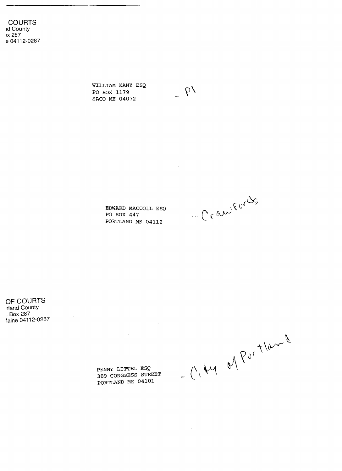**COURTS**  Id County IX 287 9 04112-0287

> WILLIAM KANY ESQ PO BOX 1179 SACO ME 04072

> > EDWARD MACCOLL ESQ PO BOX 447 PORTLAND ME 04112

 $-C<sub>c</sub>$ andrords

 $P'$ 

 $\mathcal{L}_{\mathrm{in}}$ 

**OF COURTS**  !rland County I. Box 287 ~aine 04112-0287

 $- C_{1} \mu_{1} d_{1} \rho_{0}^{2} + 10 \rho_{2}^{2}$ 

 $\mathcal{E}$ 

PENNY LITTEL ESQ 389 CONGRESS STREET PORTLAND ME 04101

 $\sim 10^{-10}$ 

 $\mathcal{L}^{\text{max}}_{\text{max}}$  ,  $\mathcal{L}^{\text{max}}_{\text{max}}$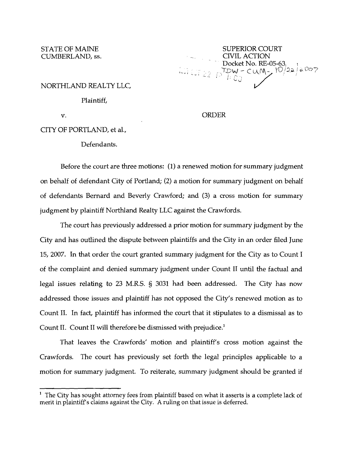STATE OF MAINE<br>CUMBERLAND, ss. SUPERIOR COURT Docket No. RE-05-63 *r\_,I.DW* - *Cu.,JV\-* \(0/.:;;. c:<Oo/, -< ; I:[',J 7 '

#### NORTHLAND REALTY LLC,

Plaintiff,

# v. ORDER

CITY OF PORTLAND, et al.,

Defendants.

Before the court are three motions: (1) a renewed motion for summary judgment on behalf of defendant City of Portland; (2) a motion for summary judgment on behalf of defendants Bernard and Beverly Crawford; and (3) a cross motion for summary judgment by plaintiff Northland Realty LLC against the Crawfords.

The court has previously addressed a prior motion for summary judgment by the City and has outlined the dispute between plaintiffs and the City in an order filed June 15, 2007. In that order the court granted summary judgment for the City as to Count I of the complaint and denied summary judgment under Count II until the factual and legal issues relating to 23 M.R.S. § 3031 had been addressed. The City has now addressed those issues and plaintiff has not opposed the City's renewed motion as to Count II. In fact, plaintiff has informed the court that it stipulates to a dismissal as to Count II. Count II will therefore be dismissed with prejudice.<sup>1</sup>

That leaves the Crawfords' motion and plaintiff's cross motion against the Crawfords. The court has previously set forth the legal principles applicable to a motion for summary judgment. To reiterate, summary judgment should be granted if

 $<sup>1</sup>$  The City has sought attorney fees from plaintiff based on what it asserts is a complete lack of</sup> merit in plaintiff's claims against the City. A ruling on that issue is deferred.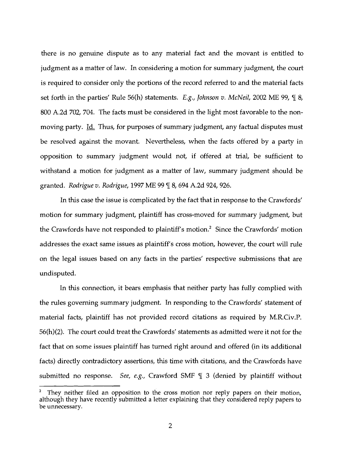there is no genuine dispute as to any material fact and the movant is entitled to judgment as a matter of law. In considering a motion for summary judgment, the court is required to consider only the portions of the record referred to and the material facts set forth in the parties' Rule 56(h) statements. *E.g., Johnson v. McNeil*, 2002 ME 99, *[18, ]* 800 A.2d 702, 704. The facts must be considered in the light most favorable to the nonmoving party. Id. Thus, for purposes of summary judgment, any factual disputes must be resolved against the movant. Nevertheless, when the facts offered by a party in opposition to summary judgment would not, if offered at trial, be sufficient to withstand a motion for judgment as a matter of law, summary judgment should be granted. *Rodrigue v. Rodrigue,* 1997 ME 99 ¶ 8, 694 A.2d 924, 926.

In this case the issue is complicated by the fact that in response to the Crawfords' motion for summary judgment, plaintiff has cross-moved for summary judgment, but the Crawfords have not responded to plaintiff's motion.<sup>2</sup> Since the Crawfords' motion addresses the exact same issues as plaintiff's cross motion, however, the court will rule on the legal issues based on any facts in the parties' respective submissions that are undisputed.

In this connection, it bears emphasis that neither party has fully complied with the rules governing summary judgment. In responding to the Crawfords' statement of material facts, plaintiff has not provided record citations as required by M.R.Civ.P. 56(h)(2). The court could treat the Crawfords' statements as admitted were it not for the fact that on some issues plaintiff has turned right around and offered (in its additional facts) directly contradictory assertions, this time with citations, and the Crawfords have submitted no response. *See, e.g.,* Crawford SMF  $\P$  3 (denied by plaintiff without

They neither filed an opposition to the cross motion nor reply papers on their motion, although they have recently submitted a letter explaining that they considered reply papers to be unnecessary. 7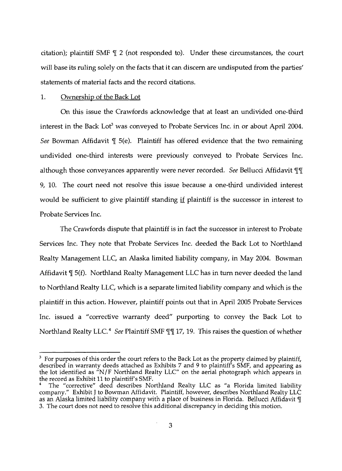citation); plaintiff SMF  $\parallel$  2 (not responded to). Under these circumstances, the court will base its ruling solely on the facts that it can discern are undisputed from the parties' statements of material facts and the record citations.

### 1. Ownership of the Back Lot

On this issue the Crawfords acknowledge that at least an undivided one-third interest in the Back Lot<sup>3</sup> was conveyed to Probate Services Inc. in or about April 2004. *See* Bowman Affidavit  $\P$  5(e). Plaintiff has offered evidence that the two remaining undivided one-third interests were previously conveyed to Probate Services Inc. although those conveyances apparently were never recorded. *See* Bellucci Affidavit TI 9, 10. The court need not resolve this issue because a one-third undivided interest would be sufficient to give plaintiff standing if plaintiff is the successor in interest to Probate Services Inc.

The Crawfords dispute that plaintiff is in fact the successor in interest to Probate Services Inc. They note that Probate Services Inc. deeded the Back Lot to Northland Realty Management LLC, an Alaska limited liability company, in May 2004. Bowman Affidavit  $\mathcal{F}$  5(f). Northland Realty Management LLC has in turn never deeded the land to Northland Realty LLC, which is a separate limited liability company and which is the plaintiff in this action. However, plaintiff points out that in April 2005 Probate Services Inc. issued a "corrective warranty deed" purporting to convey the Back Lot to Northland Realty LLC.<sup>4</sup> *See* Plaintiff SMF  $\P\P$  17, 19. This raises the question of whether

 $3$  For purposes of this order the court refers to the Back Lot as the property claimed by plaintiff, described in warranty deeds attached as Exhibits 7 and 9 to plaintiff's SMF, and appearing as the lot identified as "N/F Northland Realty LLC" on the aerial photograph which appears in the record as Exhibit 11 to plaintiff's SMF.

The "corrective" deed describes Northland Realty LLC as "a Florida limited liability company." Exhibit J to Bowman Affidavit. Plaintiff, however, describes Northland Realty LLC as an Alaska limited liability company with a place of business in Florida. Bellucci Affidavit  $\P$ 3. The court does not need to resolve this additional discrepancy in deciding this motion.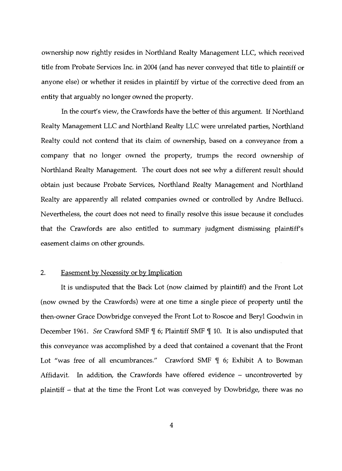ownership now rightly resides in Northland Realty Management LLC, which received title from Probate Services Inc. in 2004 (and has never conveyed that title to plaintiff or anyone else) or whether it resides in plaintiff by virtue of the corrective deed from an entity that arguably no longer owned the property.

In the court's view, the Crawfords have the better of this argument. If Northland Realty Management LLC and Northland Realty LLC were unrelated parties, Northland Realty could not contend that its claim of ownership, based on a conveyance from a company that no longer owned the property, trumps the record ownership of Northland Realty Management. The court does not see why a different result should obtain just because Probate Services, Northland Realty Management and Northland Realty are apparently all related companies owned or controlled by Andre Bellucci. Nevertheless, the court does not need to finally resolve this issue because it concludes that the Crawfords are also entitled to summary judgment dismissing plaintiff's easement claims on other grounds.

### 2. Easement by Necessity or by Implication

It is undisputed that the Back Lot (now claimed by plaintiff) and the Front Lot (now owned by the Crawfords) were at one time a single piece of property until the then-owner Grace Dowbridge conveyed the Front Lot to Roscoe and Beryl Goodwin in December 1961. *See* Crawford SMF  $\parallel$  6; Plaintiff SMF  $\parallel$  10. It is also undisputed that this conveyance was accomplished by a deed that contained a covenant that the Front Lot "was free of all encumbrances." Crawford SMF  $\P$  6; Exhibit A to Bowman Affidavit. In addition, the Crawfords have offered evidence - uncontroverted by plaintiff - that at the time the Front Lot was conveyed by Dowbridge, there was no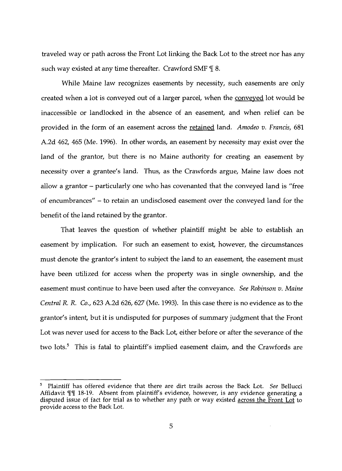traveled way or path across the Front Lot linking the Back Lot to the street nor has any such way existed at any time thereafter. Crawford SMF  $\P$  8.

While Maine law recognizes easements by necessity, such easements are only created when a lot is conveyed out of a larger parcel, when the conveyed lot would be inaccessible or landlocked in the absence of an easement, and when relief can be provided in the form of an easement across the retained land. *Amodeo v. Francis, 681*  A.2d 462, 465 (Me. 1996). In other words, an easement by necessity may exist over the land of the grantor, but there is no Maine authority for creating an easement by necessity over a grantee's land. Thus, as the Crawfords argue, Maine law does not allow a grantor – particularly one who has covenanted that the conveyed land is "free of encumbrances" - to retain an undisclosed easement over the conveyed land for the benefit of the land retained by the grantor.

That leaves the question of whether plaintiff might be able to establish an easement by implication. For such an easement to exist, however, the circumstances must denote the grantor's intent to subject the land to an easement, the easement must have been utilized for access when the property was in single ownership, and the easement must continue to have been used after the conveyance. *See Robinson v. Maine Central* R. R. *Co.,* 623 A.2d 626, 627 (Me. 1993). In this case there is no evidence as to the grantor's intent, but it is undisputed for purposes of summary judgment that the Front Lot was never used for access to the Back Lot, either before or after the severance of the two lots.<sup>5</sup> This is fatal to plaintiff's implied easement claim, and the Crawfords are

Plaintiff has offered evidence that there are dirt trails across the Back Lot. *See* Bellucci Affidavit II 18-19. Absent from plaintiff's evidence, however, is any evidence generating a disputed issue of fact for trial as to whether any path or way existed across the Front Lot to provide access to the Back Lot. 5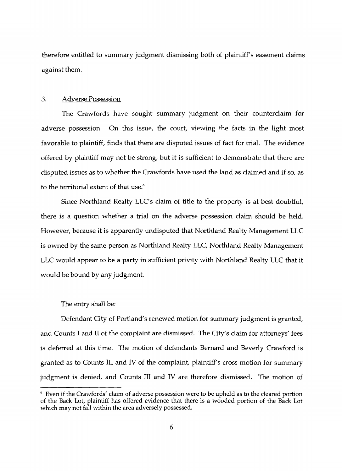therefore entitled to summary judgment dismissing both of plaintiff's easement claims against them.

### 3. Adverse Possession

The Crawfords have sought summary judgment on their counterclaim for adverse possession. On this issue, the court, viewing the facts in the light most favorable to plaintiff, finds that there are disputed issues of fact for trial. The evidence offered by plaintiff may not be strong, but it is sufficient to demonstrate that there are disputed issues as to whether the Crawfords have used the land as claimed and if so, as to the territorial extent of that use.<sup>6</sup>

Since Northland Realty LLC's claim of title to the property is at best doubtful, there is a question whether a trial on the adverse possession claim should be held. However, because it is apparently undisputed that Northland Realty Management LLC is owned by the same person as Northland Realty LLC, Northland Realty Management LLC would appear to be a party in sufficient privity with Northland Realty LLC that it would be bound by any judgment.

The entry shall be:

Defendant City of Portland's renewed motion for summary judgment is granted, and Counts I and II of the complaint are dismissed. The City's claim for attorneys' fees is deferred at this time. The motion of defendants Bernard and Beverly Crawford is granted as to Counts III and IV of the complaint, plaintiff's cross motion for summary judgment is denied, and Counts III and IV are therefore dismissed. The motion of

<sup>6</sup> Even if the Crawfords' claim of adverse possession were to be upheld as to the cleared portion of the Back Lot, plaintiff has offered evidence that there is a wooded portion of the Back Lot which may not fall within the area adversely possessed.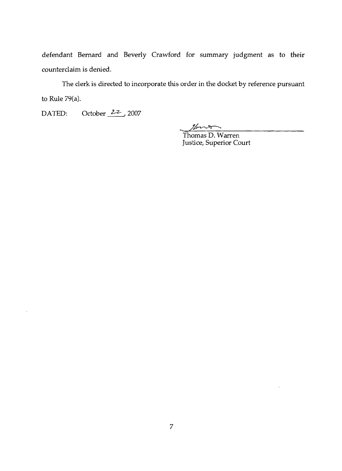defendant Bernard and Beverly Crawford for summary judgment as to their counterclaim is denied.

The clerk is directed to incorporate this order in the docket by reference pursuant to Rule 79(a).

DATED: October 22, 2007

 $\bar{\mathcal{A}}$ 

 $\frac{1}{2}$ 

Thomas D. Warren Justice, Superior Court